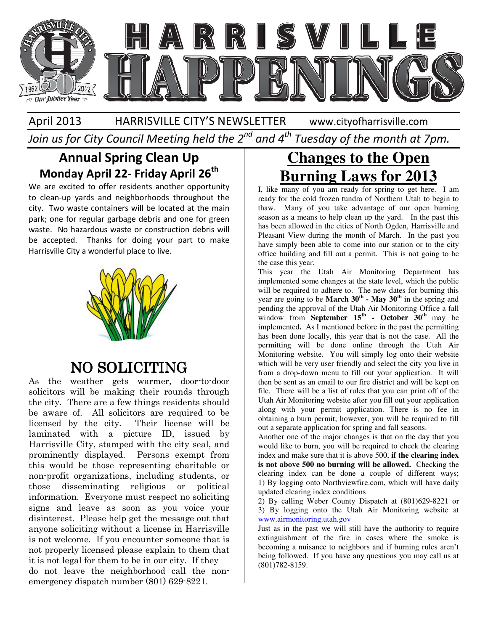

#### April 2013 HARRISVILLE CITY'S NEWSLETTER www.cityofharrisville.com

Join us for City Council Meeting held the  $2^{nd}$  and  $4^{th}$  Tuesday of the month at 7pm.

### Annual Spring Clean Up Monday April 22- Friday April 26<sup>th</sup>

We are excited to offer residents another opportunity to clean-up yards and neighborhoods throughout the city. Two waste containers will be located at the main park; one for regular garbage debris and one for green waste. No hazardous waste or construction debris will be accepted. Thanks for doing your part to make Harrisville City a wonderful place to live.

![](_page_0_Picture_6.jpeg)

### NO SOLICITING

As the weather gets warmer, door-to-door solicitors will be making their rounds through the city. There are a few things residents should be aware of. All solicitors are required to be licensed by the city. Their license will be laminated with a picture ID, issued by Harrisville City, stamped with the city seal, and prominently displayed. Persons exempt from this would be those representing charitable or non-profit organizations, including students, or those disseminating religious or political information. Everyone must respect no soliciting signs and leave as soon as you voice your disinterest. Please help get the message out that anyone soliciting without a license in Harrisville is not welcome. If you encounter someone that is not properly licensed please explain to them that it is not legal for them to be in our city. If they do not leave the neighborhood call the nonemergency dispatch number (801) 629-8221.

# **Changes to the Open Burning Laws for 2013**

I, like many of you am ready for spring to get here. I am ready for the cold frozen tundra of Northern Utah to begin to thaw. Many of you take advantage of our open burning season as a means to help clean up the yard. In the past this has been allowed in the cities of North Ogden, Harrisville and Pleasant View during the month of March. In the past you have simply been able to come into our station or to the city office building and fill out a permit. This is not going to be the case this year.

This year the Utah Air Monitoring Department has implemented some changes at the state level, which the public will be required to adhere to. The new dates for burning this year are going to be **March 30th - May 30th** in the spring and pending the approval of the Utah Air Monitoring Office a fall window from **September 15<sup>th</sup> - October 30<sup>th</sup> may be** implemented**.** As I mentioned before in the past the permitting has been done locally, this year that is not the case. All the permitting will be done online through the Utah Air Monitoring website. You will simply log onto their website which will be very user friendly and select the city you live in from a drop-down menu to fill out your application. It will then be sent as an email to our fire district and will be kept on file. There will be a list of rules that you can print off of the Utah Air Monitoring website after you fill out your application along with your permit application. There is no fee in obtaining a burn permit; however, you will be required to fill out a separate application for spring and fall seasons.

Another one of the major changes is that on the day that you would like to burn, you will be required to check the clearing index and make sure that it is above 500, **if the clearing index is not above 500 no burning will be allowed.** Checking the clearing index can be done a couple of different ways; 1) By logging onto Northviewfire.com, which will have daily updated clearing index conditions

2) By calling Weber County Dispatch at (801)629-8221 or 3) By logging onto the Utah Air Monitoring website at www.airmonitoring.utah.gov

Just as in the past we will still have the authority to require extinguishment of the fire in cases where the smoke is becoming a nuisance to neighbors and if burning rules aren't being followed. If you have any questions you may call us at (801)782-8159.